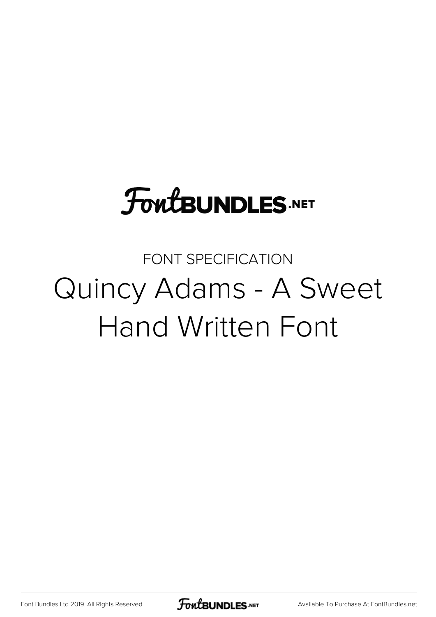# **FoutBUNDLES.NET**

FONT SPECIFICATION Quincy Adams - A Sweet Hand Written Font

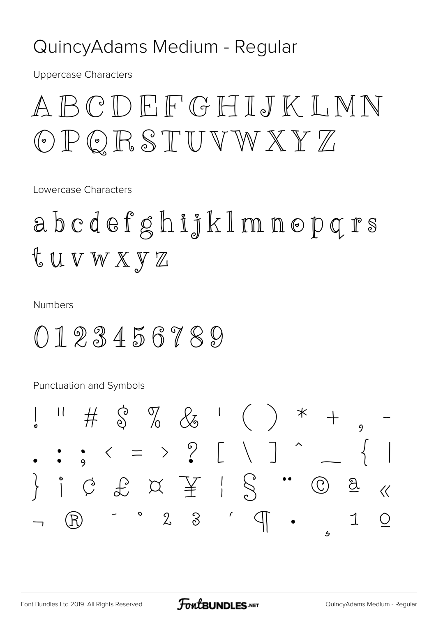#### QuincyAdams Medium - Regular

**Uppercase Characters** 

# ABCDEFGHIJKLNN OPQRSTUVWXYZ

Lowercase Characters

abedefghijklmnopqrs t u v w x y z

**Numbers** 

0123456789

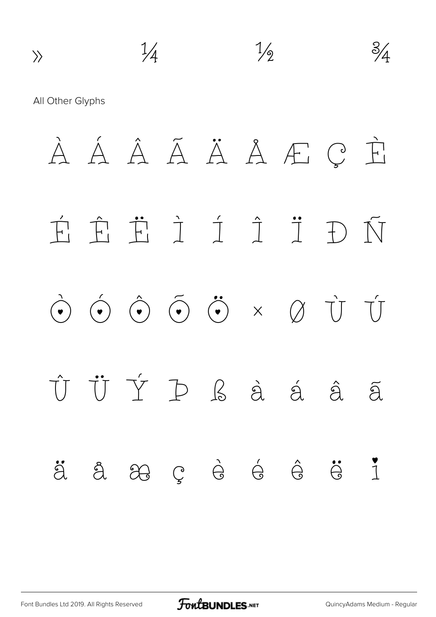$\n *\frac{1}{4}*\n  $\frac{1}{2}$ \n  $\frac{3}{4}$$ All Other Glyphs À Á Â Ã Ä Å Æ Ç È É Ê Ë Ì Í Î Ï Ð Ñ Ò Ó Ô Õ Ö × Ø Ù Ú Û Ü Ý Þ ß à á â ã ä å æ ç è é ê ë ì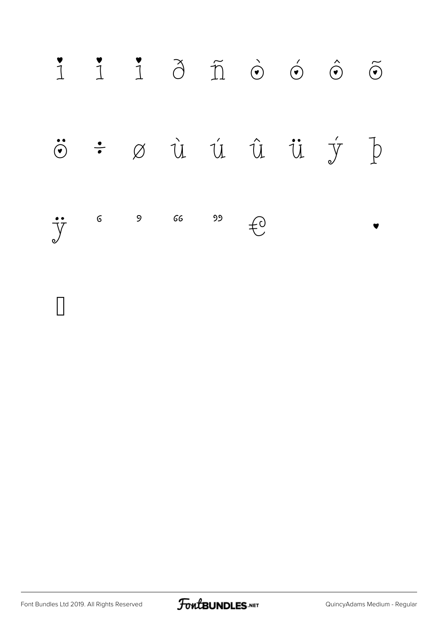

 $\mathsf{I}$ 

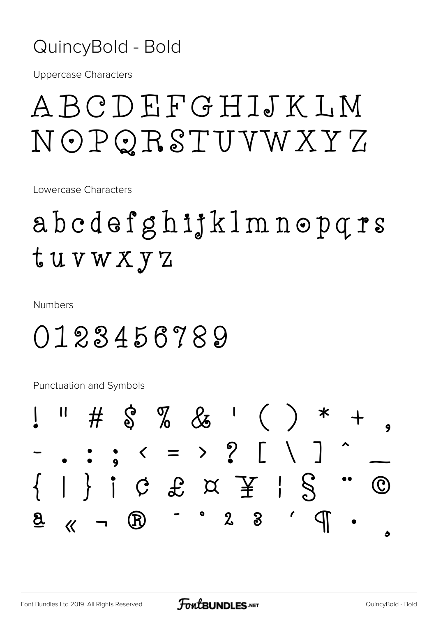#### QuincyBold - Bold

**Uppercase Characters** 

# ABCDEFGHIJKLM NOPQRSTUVWXYZ

Lowercase Characters

# abedefghijklmnopqrs tuvwxyz

**Numbers** 

### 0123456789

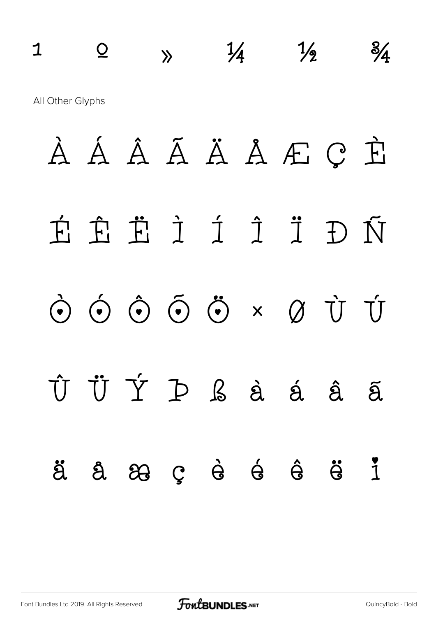# $1 \quad \circ \quad \circ \quad \quad \frac{1}{4} \quad \frac{1}{2} \quad \frac{3}{4}$ All Other Glyphs **À Á Â Ã Ä Å Æ Ç È**

# **É Ê Ë Ì Í Î Ï Ð Ñ**

# **Ò Ó Ô Õ Ö × Ø Ù Ú**

# **Û Ü Ý Þ ß à á â ã ä å æ ç è é ê ë ì**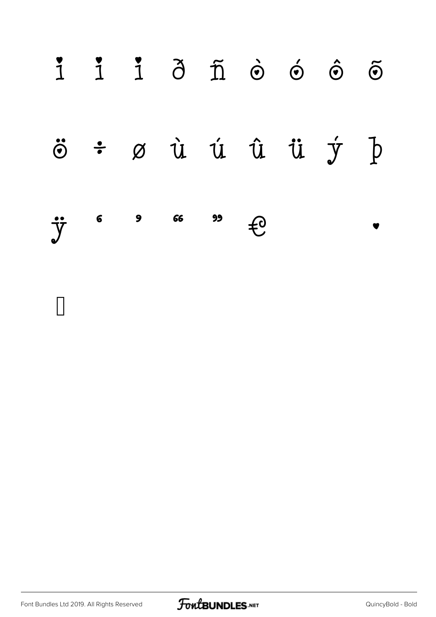|                              |  |  | $i$ $i$ $j$ $\delta$ $\tilde{n}$ $\phi$ $\phi$ $\tilde{\phi}$ $\tilde{\phi}$ |  |
|------------------------------|--|--|------------------------------------------------------------------------------|--|
|                              |  |  | $\ddot{\circ}$ $\div$ $\varnothing$ ù ú û ü $\dot{y}$ þ                      |  |
| $\ddot{y}$ 6 9 66 99 $\pm 0$ |  |  | $\overline{\phantom{a}}$                                                     |  |

 $\Box$ 

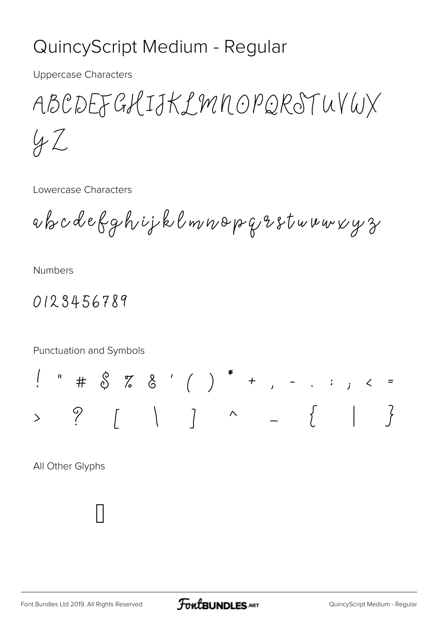### QuincyScript Medium - Regular

**Uppercase Characters** 

ABCDEFGHIJKLMNOPQRSTUVWX  $42$ 

Lowercase Characters

abcdefghijklmnopqrstwuwxyz

**Numbers** 

0123456789

Punctuation and Symbols

 $? \qquad \qquad \begin{matrix} \circ \\ \circ \\ \circ \end{matrix} \qquad \qquad \begin{matrix} \circ \\ \circ \\ \circ \\ \circ \end{matrix} \qquad \qquad \begin{matrix} \circ \\ \circ \\ \circ \\ \circ \end{matrix} \qquad \qquad \qquad \begin{matrix} \circ \\ \circ \\ \circ \\ \circ \end{matrix} \qquad \qquad \begin{matrix} \circ \\ \circ \\ \circ \\ \circ \end{matrix} \qquad \qquad \begin{matrix} \circ \\ \circ \\ \circ \\ \circ \end{matrix} \qquad \qquad \begin{matrix} \circ \\ \circ \\ \circ \\ \circ \end{matrix} \qquad \qquad \begin{matrix} \circ \\ \circ \\ \circ \\ \circ \end{matrix} \qquad$  $\left\{\begin{array}{c} 2 \end{array}\right\}$  $\overline{\phantom{0}}$ 

All Other Glyphs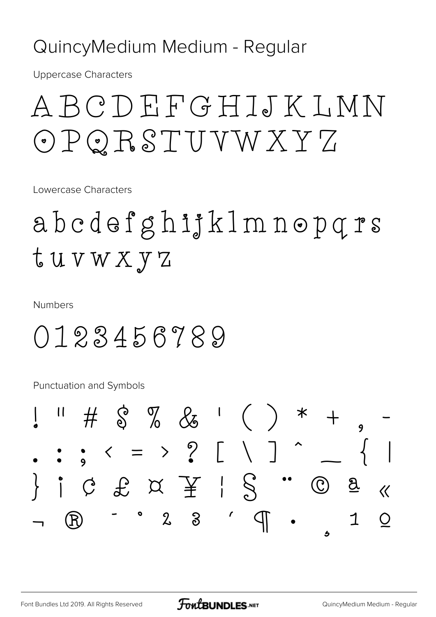#### QuincyMedium Medium - Regular

**Uppercase Characters** 

# A B C D E F G H I J K L M N OPQRSTUVWXYZ

Lowercase Characters

# abedefghijklmnopqrs tuvwxyz

**Numbers** 

### 0123456789

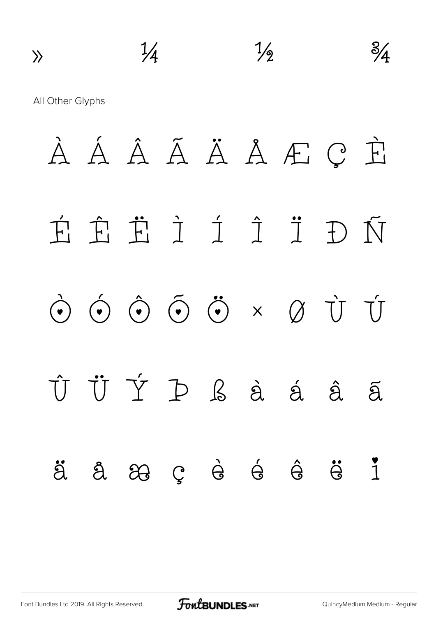$\n <sup>1</sup>/<sub>4</sub>$   $\n <sup>1</sup>/<sub>2</sub>$   $\n <sup>3</sup>/<sub>4</sub>$ All Other Glyphs À Á Â Ã Ä Å Æ Ç È É Ê Ë Ì Í Î Ï Ð Ñ  $\begin{array}{ccccccc}\n\bullet & \bullet & \hat{\bullet} & \tilde{\bullet} & \tilde{\bullet} & \times & \varnothing & \tilde{U} & \tilde{U}\n\end{array}$ Û Ü Ý Þ ß à á â ã ä å æ ç è é ê ë ì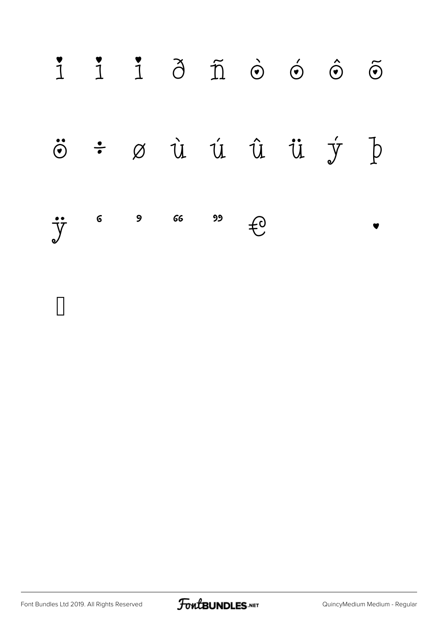|  |  |                                                                                                                                                                      |  | $\begin{array}{ccccc} \mathbf{1} & \mathbf{1} & \mathbf{1} & \mathbf{0} & \mathbf{0} & \mathbf{0} & \mathbf{0} & \mathbf{0} \end{array}$ |  |
|--|--|----------------------------------------------------------------------------------------------------------------------------------------------------------------------|--|------------------------------------------------------------------------------------------------------------------------------------------|--|
|  |  |                                                                                                                                                                      |  | $\ddot{\circ}$ $\div$ $\emptyset$ $\dot{u}$ $\dot{u}$ $\ddot{u}$ $\dot{u}$ $\dot{y}$ $\dot{p}$                                           |  |
|  |  | $\begin{array}{ccccc}\n\bullet & \bullet & \circ & \circ & \circ & \bullet & \bullet \\ \downarrow & \circ & \circ & \circ & \circ & \bullet & \bullet\n\end{array}$ |  |                                                                                                                                          |  |

 $\Box$ 

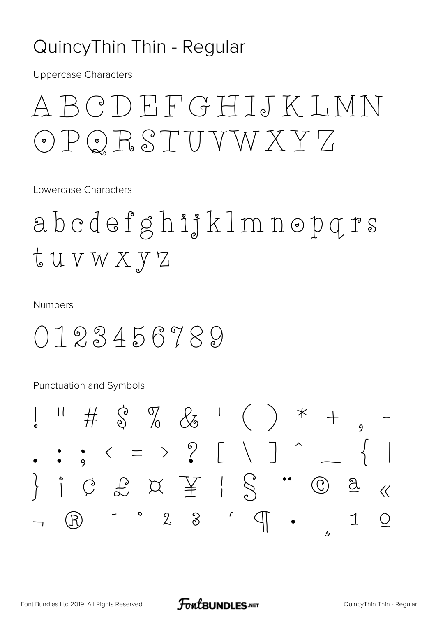### Quincy Thin Thin - Regular

**Uppercase Characters** 

# A B C D E F G H I J K L M N OPQRSTUVWXYZ

Lowercase Characters

abedefghijklmnopqrs tuvwxyz

**Numbers** 

0123456789

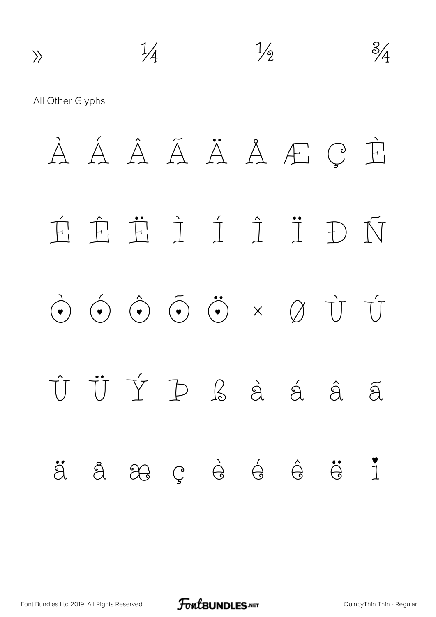$\n *\frac{1}{4}*\n  $\frac{1}{2}$ \n  $\frac{3}{4}$$ All Other Glyphs À Á Â Ã Ä Å Æ Ç È É Ê Ë Ì Í Î Ï Ð Ñ Ò Ó Ô Õ Ö × Ø Ù Ú Û Ü Ý Þ ß à á â ã ä å æ ç è é ê ë ì